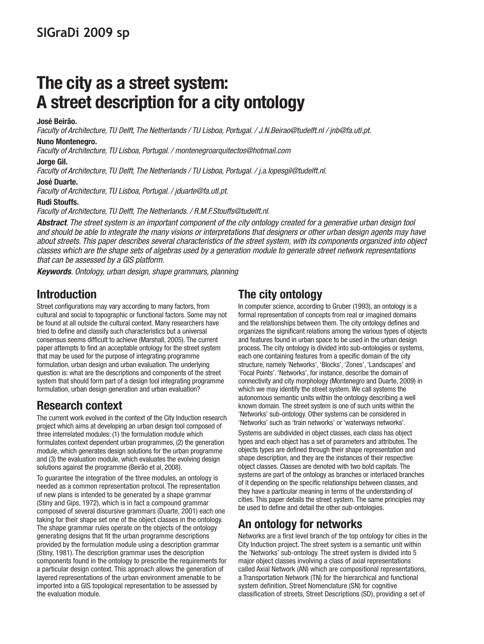## **The city as a street system: A street description for a city ontology**

#### **José Beirão.**

Faculty of Architecture, TU Delft, The Netherlands / TU Lisboa, Portugal. / J.N.Beirao@tudelft.nl / jnb@fa.utl.pt.

#### **Nuno Montenegro.**

Faculty of Architecture, TU Lisboa, Portugal. / montenegroarquitectos@hotmail.com

#### **Jorge Gil.**

Faculty of Architecture, TU Delft, The Netherlands / TU Lisboa, Portugal. / j.a.lopesgil@tudelft.nl.

#### **José Duarte.**

Faculty of Architecture, TU Lisboa, Portugal. / jduarte@fa.utl.pt.

#### **Rudi Stouffs.**

Faculty of Architecture, TU Delft, The Netherlands. / R.M.F.Stouffs@tudelft.nl.

**Abstract**. The street system is an important component of the city ontology created for a generative urban design tool and should be able to integrate the many visions or interpretations that designers or other urban design agents may have about streets. This paper describes several characteristics of the street system, with its components organized into object classes which are the shape sets of algebras used by a generation module to generate street network representations that can be assessed by a GIS platform.

**Keywords**. Ontology, urban design, shape grammars, planning

### **Introduction**

Street configurations may vary according to many factors, from cultural and social to topographic or functional factors. Some may not be found at all outside the cultural context. Many researchers have tried to define and classify such characteristics but a universal consensus seems difficult to achieve (Marshall, 2005). The current paper attempts to find an acceptable ontology for the street system that may be used for the purpose of integrating programme formulation, urban design and urban evaluation. The underlying question is: what are the descriptions and components of the street system that should form part of a design tool integrating programme formulation, urban design generation and urban evaluation?

### **Research context**

The current work evolved in the context of the City Induction research project which aims at developing an urban design tool composed of three interrelated modules: (1) the formulation module which formulates context dependent urban programmes, (2) the generation module, which generates design solutions for the urban programme and (3) the evaluation module, which evaluates the evolving design solutions against the programme (Beirão et al, 2008).

To guarantee the integration of the three modules, an ontology is needed as a common representation protocol. The representation of new plans is intended to be generated by a shape grammar (Stiny and Gips, 1972), which is in fact a compound grammar composed of several discursive grammars (Duarte, 2001) each one taking for their shape set one of the object classes in the ontology. The shape grammar rules operate on the objects of the ontology generating designs that fit the urban programme descriptions provided by the formulation module using a description grammar (Stiny, 1981). The description grammar uses the description components found in the ontology to prescribe the requirements for a particular design context. This approach allows the generation of layered representations of the urban environment amenable to be imported into a GIS topological representation to be assessed by the evaluation module.

### **The city ontology**

In computer science, according to Gruber (1993), an ontology is a formal representation of concepts from real or imagined domains and the relationships between them. The city ontology defines and organizes the significant relations among the various types of objects and features found in urban space to be used in the urban design process. The city ontology is divided into sub-ontologies or systems, each one containing features from a specific domain of the city structure, namely 'Networks', 'Blocks', 'Zones', 'Landscapes' and 'Focal Points'. 'Networks', for instance, describe the domain of connectivity and city morphology (Montenegro and Duarte, 2009) in which we may identify the street system. We call systems the autonomous semantic units within the ontology describing a well known domain. The street system is one of such units within the 'Networks' sub-ontology. Other systems can be considered in 'Networks' such as 'train networks' or 'waterways networks'.

Systems are subdivided in object classes, each class has object types and each object has a set of parameters and attributes. The objects types are defined through their shape representation and shape description, and they are the instances of their respective object classes. Classes are denoted with two bold capitals. The systems are part of the ontology as branches or interlaced branches of it depending on the specific relationships between classes, and they have a particular meaning in terms of the understanding of cities. This paper details the street system. The same principles may be used to define and detail the other sub-ontologies.

### **An ontology for networks**

Networks are a first level branch of the top ontology for cities in the City Induction project. The street system is a semantic unit within the 'Networks' sub-ontology. The street system is divided into 5 major object classes involving a class of axial representations called Axial Network (AN) which are compositional representations, a Transportation Network (TN) for the hierarchical and functional system definition, Street Nomenclature (SN) for cognitive classification of streets, Street Descriptions (SD), providing a set of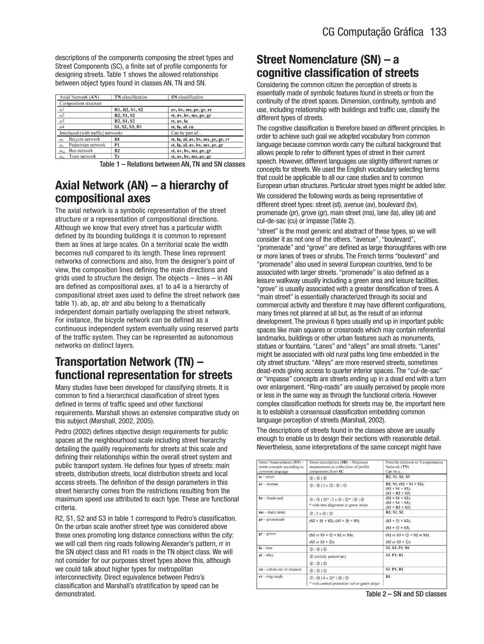descriptions of the components composing the street types and Street Components (SC), a finite set of profile components for designing streets. Table 1 shows the allowed relationships between object types found in classes AN, TN and SN.

| Axial Network (AN)                 | <b>TN</b> classification                         | SN classification                  |  |  |
|------------------------------------|--------------------------------------------------|------------------------------------|--|--|
| Composition structure              |                                                  |                                    |  |  |
| aΙ                                 | R1, R2, S1, S2                                   | av, bv, ms, pr, gr, rr             |  |  |
| a2                                 | R <sub>2</sub> , S <sub>1</sub> , S <sub>2</sub> | st, av, bv, ms, pr, gr             |  |  |
| a <sup>3</sup>                     | R <sub>2</sub> , S <sub>1</sub> , S <sub>2</sub> | st. av. la                         |  |  |
| a <sub>4</sub>                     | S1, S2, S3, B1                                   | st, la, al, cu                     |  |  |
| Interlaced (with traffic) networks |                                                  | Can be part of                     |  |  |
| Bicycle network<br>a <sub>h</sub>  | B1                                               | st, la, al, av, bv, ms, pr, gr, rr |  |  |
| Pedestrian network<br>$a_{n}$      | P <sub>1</sub>                                   | st, la, al, av, bv, ms, pr, gr     |  |  |
| $a_{hu}$ Bus network               | <b>B2</b>                                        | st, av, bv, ms, pr, gr             |  |  |
| Tram network<br>$a_{ir}$           | Тr                                               | st, av, bv, ms, pr, gr             |  |  |

Table 1 – Relations between AN, TN and SN classes

### **Axial Network (AN) – a hierarchy of compositional axes**

The axial network is a symbolic representation of the street structure or a representation of compositional directions. Although we know that every street has a particular width defined by its bounding buildings it is common to represent them as lines at large scales. On a territorial scale the width becomes null compared to its length. These lines represent networks of connections and also, from the designer's point of view, the composition lines defining the main directions and grids used to structure the design. The objects – lines – in AN are defined as compositional axes. a1 to a4 is a hierarchy of compositional street axes used to define the street network (see table 1). ab, ap, atr and abu belong to a thematically independent domain partially overlapping the street network. For instance, the bicycle network can be defined as a continuous independent system eventually using reserved parts of the traffic system. They can be represented as autonomous networks on distinct layers.

### **Transportation Network (TN) – functional representation for streets**

Many studies have been developed for classifying streets. It is common to find a hierarchical classification of street types defined in terms of traffic speed and other functional requirements. Marshall shows an extensive comparative study on this subject (Marshall, 2002, 2005).

Pedro (2002) defines objective design requirements for public spaces at the neighbourhood scale including street hierarchy detailing the quality requirements for streets at this scale and defining their relationships within the overall street system and public transport system. He defines four types of streets: main streets, distribution streets, local distribution streets and local access streets. The definition of the design parameters in this street hierarchy comes from the restrictions resulting from the maximum speed use attributed to each type. These are functional criteria.

R2, S1, S2 and S3 in table 1 correspond to Pedro's classification. On the urban scale another street type was considered above these ones promoting long distance connections within the city: we will call them ring roads following Alexander's pattern, rr in the SN object class and R1 roads in the TN object class. We will not consider for our purposes street types above this, although we could talk about higher types for metropolitan interconnectivity. Direct equivalence between Pedro's classification and Marshall's stratification by speed can be demonstrated.

### **Street Nomenclature (SN) – a cognitive classification of streets**

Considering the common citizen the perception of streets is essentially made of symbolic features found in streets or from the continuity of the street spaces. Dimension, continuity, symbols and use, including relationship with buildings and traffic use, classify the different types of streets.

The cognitive classification is therefore based on different principles. In order to achieve such goal we adopted vocabulary from common language because common words carry the cultural background that allows people to refer to different types of street in their current speech. However, different languages use slightly different names or concepts for streets. We used the English vocabulary selecting terms that could be applicable to all our case studies and to common European urban structures. Particular street types might be added later.

We considered the following words as being representative of different street types: street (st), avenue (av), boulevard (bv), promenade (pr), grove (gr), main street (ms), lane (la), alley (al) and cul-de-sac (cu) or impasse (Table 2).

"street" is the most generic and abstract of these types, so we will consider it as not one of the others. "avenue", "boulevard", "promenade" and "grove" are defined as large thoroughfares with one or more lanes of trees or shrubs. The French terms "boulevard" and "promenade" also used in several European countries, tend to be associated with larger streets. "promenade" is also defined as a leisure walkway usually including a green area and leisure facilities. "grove" is usually associated with a greater densification of trees. A "main street" is essentially characterized through its social and commercial activity and therefore it may have different configurations, many times not planned at all but, as the result of an informal development. The previous 6 types usually end up in important public spaces like main squares or crossroads which may contain referential landmarks, buildings or other urban features such as monuments, statues or fountains. "Lanes" and "alleys" are small streets. "Lanes" might be associated with old rural paths long time embedded in the city street structure. "Alleys" are more reserved streets, sometimes dead-ends giving access to quarter interior spaces. The "cul-de-sac" or "impasse" concepts are streets ending up in a dead end with a turn over enlargement. "Ring-roads" are usually perceived by people more or less in the same way as through the functional criteria. However complex classification methods for streets may be, the important here is to establish a consensual classification embedding common language perception of streets (Marshall, 2002).

The descriptions of streets found in the classes above are usually enough to enable us to design their sections with reasonable detail. Nevertheless, some interpretations of the same concept might have

| Street Nomenclature (SN) -<br>street concepts according to<br>common language | Street descriptions (SD) - Minimum<br>requirements as collections of profile<br>components from SC                                                  | Possible relations to Transportation<br>Network (TN)<br>Can be a                                        |
|-------------------------------------------------------------------------------|-----------------------------------------------------------------------------------------------------------------------------------------------------|---------------------------------------------------------------------------------------------------------|
| $st - street$                                                                 | @ 1 (6 1 (6 )                                                                                                                                       | R2: S1: S2: S3                                                                                          |
| $av - a$ venue                                                                | 2 0 2x0 0 0                                                                                                                                         | R2: S1: $(S2 + S1 + S2)$ :<br>$(S3 + S1 + S3)$ ;<br>$(S2 + R2 + S2)$                                    |
| $bv - boulevard$                                                              | $@ @ @* 2x@ @* @ @$<br>* with tree alignment or green stripe                                                                                        | $(S2 + S1 + S2)$ :<br>$(S3 + S1 + S3)$ ;<br>$(S2 + R2 + S2)$                                            |
| $ms - main street$                                                            | 2   2 x 6   2                                                                                                                                       | R2; S1; S2                                                                                              |
| $pr$ – promenade                                                              | $(S2 + \textcircled{n} + S2); (S3 + \textcircled{n} + S3)$                                                                                          | $(S2 + \textcircled{0} + S2)$ :<br>$(S3 + \textcircled{0} + S3)$                                        |
| $gr - grove$                                                                  | $(S2 \text{ or } S3 + \textcircled{0} + S2 \text{ or } S3);$<br>$(S2 \text{ or } S3 + \textcircled{1})$                                             | $(S2 \text{ or } S3 + \textcircled{0} + S2 \text{ or } S3);$<br>$(S2 \text{ or } S3 + \textcircled{1})$ |
| $Ia - Ianc$                                                                   | © 1 © 1 ©                                                                                                                                           | S2; S3; P1; B1                                                                                          |
| $al$ – alley                                                                  | 2 (strictly pedestrian)<br>@ @ @                                                                                                                    | <b>S3: P1: B1</b>                                                                                       |
| cu-cul-de-sac or impasse                                                      | @ @ @                                                                                                                                               | S3: P1: B1                                                                                              |
| $rr - ring$ roads                                                             | $\textcircled{2}$   $\textcircled{3}$   $\textcircled{3}$   $\textcircled{3}$   $\textcircled{2}$<br>* with central protection rail or green stripe | $R1$                                                                                                    |

Table 2 – SN and SD classes